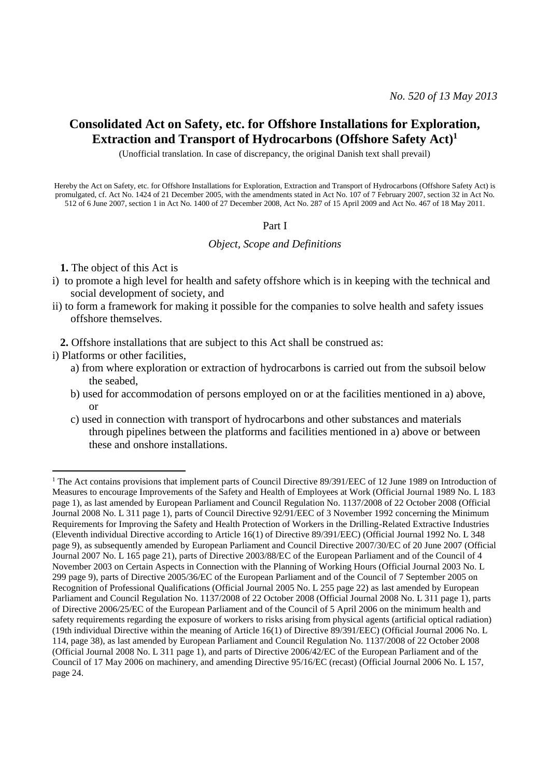# **Consolidated Act on Safety, etc. for Offshore Installations for Exploration, Extraction and Transport of Hydrocarbons (Offshore Safety Act)<sup>1</sup>**

(Unofficial translation. In case of discrepancy, the original Danish text shall prevail)

Hereby the Act on Safety, etc. for Offshore Installations for Exploration, Extraction and Transport of Hydrocarbons (Offshore Safety Act) is promulgated, cf. Act No. 1424 of 21 December 2005, with the amendments stated in Act No. 107 of 7 February 2007, section 32 in Act No. 512 of 6 June 2007, section 1 in Act No. 1400 of 27 December 2008, Act No. 287 of 15 April 2009 and Act No. 467 of 18 May 2011.

#### Part I

*Object, Scope and Definitions*

**1.** The object of this Act is

- i) to promote a high level for health and safety offshore which is in keeping with the technical and social development of society, and
- ii) to form a framework for making it possible for the companies to solve health and safety issues offshore themselves.

**2.** Offshore installations that are subject to this Act shall be construed as:

i) Platforms or other facilities,

1

- a) from where exploration or extraction of hydrocarbons is carried out from the subsoil below the seabed,
- b) used for accommodation of persons employed on or at the facilities mentioned in a) above, or
- c) used in connection with transport of hydrocarbons and other substances and materials through pipelines between the platforms and facilities mentioned in a) above or between these and onshore installations.

<sup>&</sup>lt;sup>1</sup> The Act contains provisions that implement parts of Council Directive 89/391/EEC of 12 June 1989 on Introduction of Measures to encourage Improvements of the Safety and Health of Employees at Work (Official Journal 1989 No. L 183 page 1), as last amended by European Parliament and Council Regulation No. 1137/2008 of 22 October 2008 (Official Journal 2008 No. L 311 page 1), parts of Council Directive 92/91/EEC of 3 November 1992 concerning the Minimum Requirements for Improving the Safety and Health Protection of Workers in the Drilling-Related Extractive Industries (Eleventh individual Directive according to Article 16(1) of Directive 89/391/EEC) (Official Journal 1992 No. L 348 page 9), as subsequently amended by European Parliament and Council Directive 2007/30/EC of 20 June 2007 (Official Journal 2007 No. L 165 page 21), parts of Directive 2003/88/EC of the European Parliament and of the Council of 4 November 2003 on Certain Aspects in Connection with the Planning of Working Hours (Official Journal 2003 No. L 299 page 9), parts of Directive 2005/36/EC of the European Parliament and of the Council of 7 September 2005 on Recognition of Professional Qualifications (Official Journal 2005 No. L 255 page 22) as last amended by European Parliament and Council Regulation No. 1137/2008 of 22 October 2008 (Official Journal 2008 No. L 311 page 1), parts of Directive 2006/25/EC of the European Parliament and of the Council of 5 April 2006 on the minimum health and safety requirements regarding the exposure of workers to risks arising from physical agents (artificial optical radiation) (19th individual Directive within the meaning of Article 16(1) of Directive 89/391/EEC) (Official Journal 2006 No. L 114, page 38), as last amended by European Parliament and Council Regulation No. 1137/2008 of 22 October 2008 (Official Journal 2008 No. L 311 page 1), and parts of Directive 2006/42/EC of the European Parliament and of the Council of 17 May 2006 on machinery, and amending Directive 95/16/EC (recast) (Official Journal 2006 No. L 157, page 24.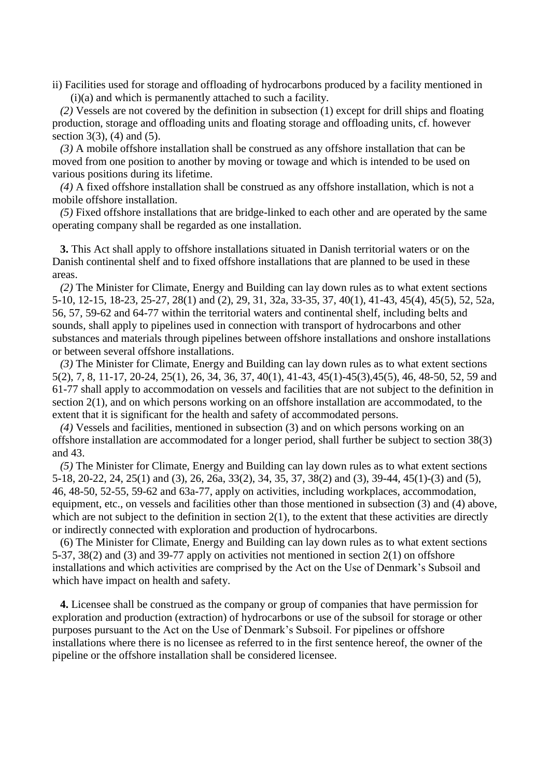ii) Facilities used for storage and offloading of hydrocarbons produced by a facility mentioned in (i)(a) and which is permanently attached to such a facility.

*(2)* Vessels are not covered by the definition in subsection (1) except for drill ships and floating production, storage and offloading units and floating storage and offloading units, cf. however section  $3(3)$ ,  $(4)$  and  $(5)$ .

*(3)* A mobile offshore installation shall be construed as any offshore installation that can be moved from one position to another by moving or towage and which is intended to be used on various positions during its lifetime.

*(4)* A fixed offshore installation shall be construed as any offshore installation, which is not a mobile offshore installation.

*(5)* Fixed offshore installations that are bridge-linked to each other and are operated by the same operating company shall be regarded as one installation.

**3.** This Act shall apply to offshore installations situated in Danish territorial waters or on the Danish continental shelf and to fixed offshore installations that are planned to be used in these areas.

*(2)* The Minister for Climate, Energy and Building can lay down rules as to what extent sections 5-10, 12-15, 18-23, 25-27, 28(1) and (2), 29, 31, 32a, 33-35, 37, 40(1), 41-43, 45(4), 45(5), 52, 52a, 56, 57, 59-62 and 64-77 within the territorial waters and continental shelf, including belts and sounds, shall apply to pipelines used in connection with transport of hydrocarbons and other substances and materials through pipelines between offshore installations and onshore installations or between several offshore installations.

*(3)* The Minister for Climate, Energy and Building can lay down rules as to what extent sections 5(2), 7, 8, 11-17, 20-24, 25(1), 26, 34, 36, 37, 40(1), 41-43, 45(1)-45(3),45(5), 46, 48-50, 52, 59 and 61-77 shall apply to accommodation on vessels and facilities that are not subject to the definition in section 2(1), and on which persons working on an offshore installation are accommodated, to the extent that it is significant for the health and safety of accommodated persons.

*(4)* Vessels and facilities, mentioned in subsection (3) and on which persons working on an offshore installation are accommodated for a longer period, shall further be subject to section 38(3) and 43.

*(5)* The Minister for Climate, Energy and Building can lay down rules as to what extent sections 5-18, 20-22, 24, 25(1) and (3), 26, 26a, 33(2), 34, 35, 37, 38(2) and (3), 39-44, 45(1)-(3) and (5), 46, 48-50, 52-55, 59-62 and 63a-77, apply on activities, including workplaces, accommodation, equipment, etc., on vessels and facilities other than those mentioned in subsection (3) and (4) above, which are not subject to the definition in section  $2(1)$ , to the extent that these activities are directly or indirectly connected with exploration and production of hydrocarbons.

(6) The Minister for Climate, Energy and Building can lay down rules as to what extent sections 5-37, 38(2) and (3) and 39-77 apply on activities not mentioned in section 2(1) on offshore installations and which activities are comprised by the Act on the Use of Denmark's Subsoil and which have impact on health and safety.

**4.** Licensee shall be construed as the company or group of companies that have permission for exploration and production (extraction) of hydrocarbons or use of the subsoil for storage or other purposes pursuant to the Act on the Use of Denmark's Subsoil. For pipelines or offshore installations where there is no licensee as referred to in the first sentence hereof, the owner of the pipeline or the offshore installation shall be considered licensee.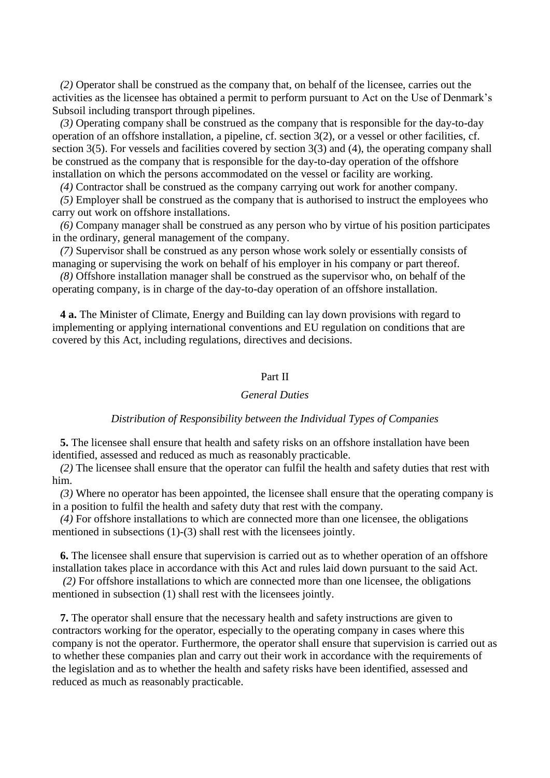*(2)* Operator shall be construed as the company that, on behalf of the licensee, carries out the activities as the licensee has obtained a permit to perform pursuant to Act on the Use of Denmark's Subsoil including transport through pipelines.

*(3)* Operating company shall be construed as the company that is responsible for the day-to-day operation of an offshore installation, a pipeline, cf. section 3(2), or a vessel or other facilities, cf. section 3(5). For vessels and facilities covered by section 3(3) and (4), the operating company shall be construed as the company that is responsible for the day-to-day operation of the offshore installation on which the persons accommodated on the vessel or facility are working.

*(4)* Contractor shall be construed as the company carrying out work for another company.

*(5)* Employer shall be construed as the company that is authorised to instruct the employees who carry out work on offshore installations.

*(6)* Company manager shall be construed as any person who by virtue of his position participates in the ordinary, general management of the company.

*(7)* Supervisor shall be construed as any person whose work solely or essentially consists of managing or supervising the work on behalf of his employer in his company or part thereof.

*(8)* Offshore installation manager shall be construed as the supervisor who, on behalf of the operating company, is in charge of the day-to-day operation of an offshore installation.

**4 a.** The Minister of Climate, Energy and Building can lay down provisions with regard to implementing or applying international conventions and EU regulation on conditions that are covered by this Act, including regulations, directives and decisions.

### Part II

### *General Duties*

#### *Distribution of Responsibility between the Individual Types of Companies*

**5.** The licensee shall ensure that health and safety risks on an offshore installation have been identified, assessed and reduced as much as reasonably practicable.

*(2)* The licensee shall ensure that the operator can fulfil the health and safety duties that rest with him.

*(3)* Where no operator has been appointed, the licensee shall ensure that the operating company is in a position to fulfil the health and safety duty that rest with the company.

*(4)* For offshore installations to which are connected more than one licensee, the obligations mentioned in subsections (1)-(3) shall rest with the licensees jointly.

**6.** The licensee shall ensure that supervision is carried out as to whether operation of an offshore installation takes place in accordance with this Act and rules laid down pursuant to the said Act.

*(2)* For offshore installations to which are connected more than one licensee, the obligations mentioned in subsection (1) shall rest with the licensees jointly.

**7.** The operator shall ensure that the necessary health and safety instructions are given to contractors working for the operator, especially to the operating company in cases where this company is not the operator. Furthermore, the operator shall ensure that supervision is carried out as to whether these companies plan and carry out their work in accordance with the requirements of the legislation and as to whether the health and safety risks have been identified, assessed and reduced as much as reasonably practicable.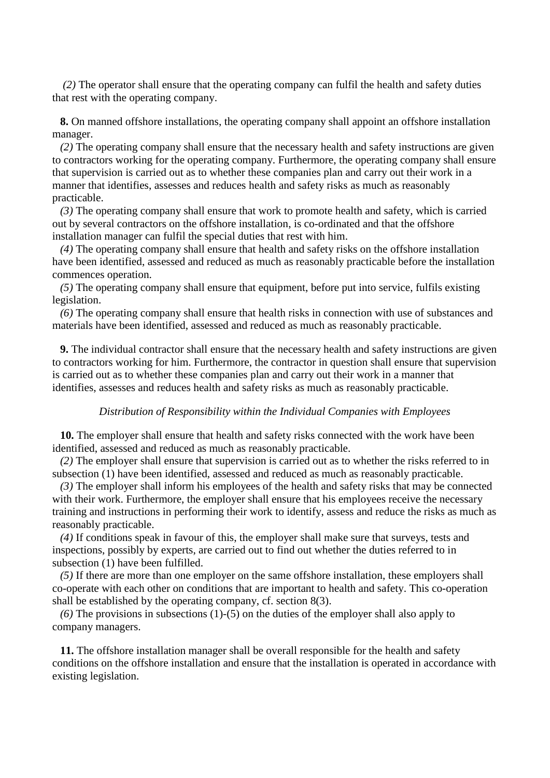*(2)* The operator shall ensure that the operating company can fulfil the health and safety duties that rest with the operating company.

**8.** On manned offshore installations, the operating company shall appoint an offshore installation manager.

*(2)* The operating company shall ensure that the necessary health and safety instructions are given to contractors working for the operating company. Furthermore, the operating company shall ensure that supervision is carried out as to whether these companies plan and carry out their work in a manner that identifies, assesses and reduces health and safety risks as much as reasonably practicable.

*(3)* The operating company shall ensure that work to promote health and safety, which is carried out by several contractors on the offshore installation, is co-ordinated and that the offshore installation manager can fulfil the special duties that rest with him.

*(4)* The operating company shall ensure that health and safety risks on the offshore installation have been identified, assessed and reduced as much as reasonably practicable before the installation commences operation.

*(5)* The operating company shall ensure that equipment, before put into service, fulfils existing legislation.

*(6)* The operating company shall ensure that health risks in connection with use of substances and materials have been identified, assessed and reduced as much as reasonably practicable.

**9.** The individual contractor shall ensure that the necessary health and safety instructions are given to contractors working for him. Furthermore, the contractor in question shall ensure that supervision is carried out as to whether these companies plan and carry out their work in a manner that identifies, assesses and reduces health and safety risks as much as reasonably practicable.

### *Distribution of Responsibility within the Individual Companies with Employees*

**10.** The employer shall ensure that health and safety risks connected with the work have been identified, assessed and reduced as much as reasonably practicable.

*(2)* The employer shall ensure that supervision is carried out as to whether the risks referred to in subsection (1) have been identified, assessed and reduced as much as reasonably practicable.

*(3)* The employer shall inform his employees of the health and safety risks that may be connected with their work. Furthermore, the employer shall ensure that his employees receive the necessary training and instructions in performing their work to identify, assess and reduce the risks as much as reasonably practicable.

*(4)* If conditions speak in favour of this, the employer shall make sure that surveys, tests and inspections, possibly by experts, are carried out to find out whether the duties referred to in subsection (1) have been fulfilled.

*(5)* If there are more than one employer on the same offshore installation, these employers shall co-operate with each other on conditions that are important to health and safety. This co-operation shall be established by the operating company, cf. section 8(3).

*(6)* The provisions in subsections (1)-(5) on the duties of the employer shall also apply to company managers.

**11.** The offshore installation manager shall be overall responsible for the health and safety conditions on the offshore installation and ensure that the installation is operated in accordance with existing legislation.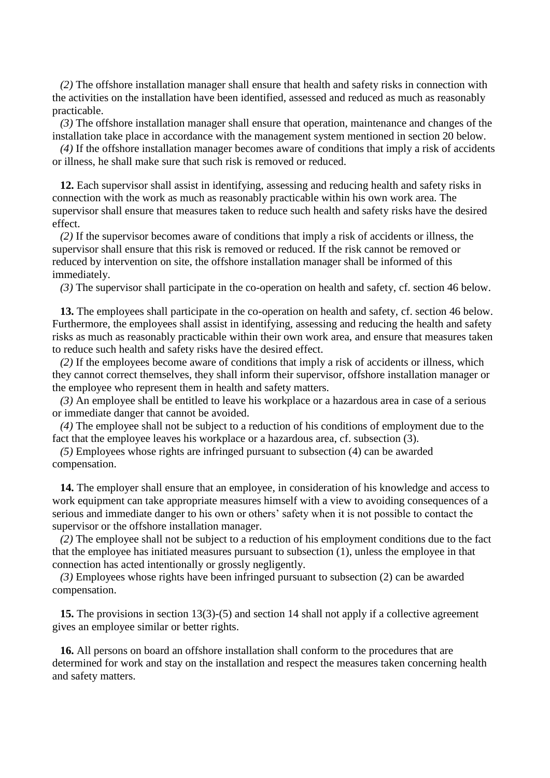*(2)* The offshore installation manager shall ensure that health and safety risks in connection with the activities on the installation have been identified, assessed and reduced as much as reasonably practicable.

*(3)* The offshore installation manager shall ensure that operation, maintenance and changes of the installation take place in accordance with the management system mentioned in section 20 below.

*(4)* If the offshore installation manager becomes aware of conditions that imply a risk of accidents or illness, he shall make sure that such risk is removed or reduced.

**12.** Each supervisor shall assist in identifying, assessing and reducing health and safety risks in connection with the work as much as reasonably practicable within his own work area. The supervisor shall ensure that measures taken to reduce such health and safety risks have the desired effect.

*(2)* If the supervisor becomes aware of conditions that imply a risk of accidents or illness, the supervisor shall ensure that this risk is removed or reduced. If the risk cannot be removed or reduced by intervention on site, the offshore installation manager shall be informed of this immediately.

*(3)* The supervisor shall participate in the co-operation on health and safety, cf. section 46 below.

**13.** The employees shall participate in the co-operation on health and safety, cf. section 46 below. Furthermore, the employees shall assist in identifying, assessing and reducing the health and safety risks as much as reasonably practicable within their own work area, and ensure that measures taken to reduce such health and safety risks have the desired effect.

*(2)* If the employees become aware of conditions that imply a risk of accidents or illness, which they cannot correct themselves, they shall inform their supervisor, offshore installation manager or the employee who represent them in health and safety matters.

*(3)* An employee shall be entitled to leave his workplace or a hazardous area in case of a serious or immediate danger that cannot be avoided.

*(4)* The employee shall not be subject to a reduction of his conditions of employment due to the fact that the employee leaves his workplace or a hazardous area, cf. subsection (3).

*(5)* Employees whose rights are infringed pursuant to subsection (4) can be awarded compensation.

**14.** The employer shall ensure that an employee, in consideration of his knowledge and access to work equipment can take appropriate measures himself with a view to avoiding consequences of a serious and immediate danger to his own or others' safety when it is not possible to contact the supervisor or the offshore installation manager.

*(2)* The employee shall not be subject to a reduction of his employment conditions due to the fact that the employee has initiated measures pursuant to subsection (1), unless the employee in that connection has acted intentionally or grossly negligently.

*(3)* Employees whose rights have been infringed pursuant to subsection (2) can be awarded compensation.

**15.** The provisions in section 13(3)-(5) and section 14 shall not apply if a collective agreement gives an employee similar or better rights.

**16.** All persons on board an offshore installation shall conform to the procedures that are determined for work and stay on the installation and respect the measures taken concerning health and safety matters.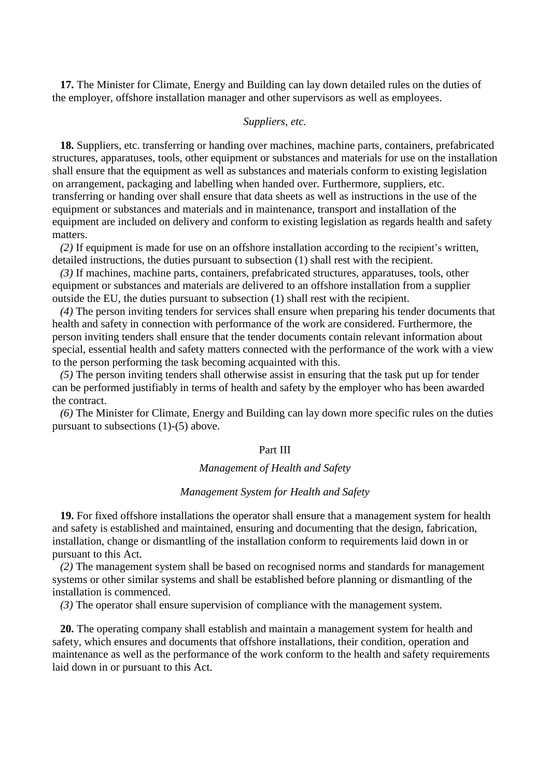**17.** The Minister for Climate, Energy and Building can lay down detailed rules on the duties of the employer, offshore installation manager and other supervisors as well as employees.

### *Suppliers, etc.*

**18.** Suppliers, etc. transferring or handing over machines, machine parts, containers, prefabricated structures, apparatuses, tools, other equipment or substances and materials for use on the installation shall ensure that the equipment as well as substances and materials conform to existing legislation on arrangement, packaging and labelling when handed over. Furthermore, suppliers, etc. transferring or handing over shall ensure that data sheets as well as instructions in the use of the equipment or substances and materials and in maintenance, transport and installation of the equipment are included on delivery and conform to existing legislation as regards health and safety matters.

*(2)* If equipment is made for use on an offshore installation according to the recipient's written, detailed instructions, the duties pursuant to subsection (1) shall rest with the recipient.

*(3)* If machines, machine parts, containers, prefabricated structures, apparatuses, tools, other equipment or substances and materials are delivered to an offshore installation from a supplier outside the EU, the duties pursuant to subsection (1) shall rest with the recipient.

*(4)* The person inviting tenders for services shall ensure when preparing his tender documents that health and safety in connection with performance of the work are considered. Furthermore, the person inviting tenders shall ensure that the tender documents contain relevant information about special, essential health and safety matters connected with the performance of the work with a view to the person performing the task becoming acquainted with this.

*(5)* The person inviting tenders shall otherwise assist in ensuring that the task put up for tender can be performed justifiably in terms of health and safety by the employer who has been awarded the contract.

*(6)* The Minister for Climate, Energy and Building can lay down more specific rules on the duties pursuant to subsections (1)-(5) above.

### Part III

### *Management of Health and Safety*

## *Management System for Health and Safety*

**19.** For fixed offshore installations the operator shall ensure that a management system for health and safety is established and maintained, ensuring and documenting that the design, fabrication, installation, change or dismantling of the installation conform to requirements laid down in or pursuant to this Act.

*(2)* The management system shall be based on recognised norms and standards for management systems or other similar systems and shall be established before planning or dismantling of the installation is commenced.

*(3)* The operator shall ensure supervision of compliance with the management system.

**20.** The operating company shall establish and maintain a management system for health and safety, which ensures and documents that offshore installations, their condition, operation and maintenance as well as the performance of the work conform to the health and safety requirements laid down in or pursuant to this Act.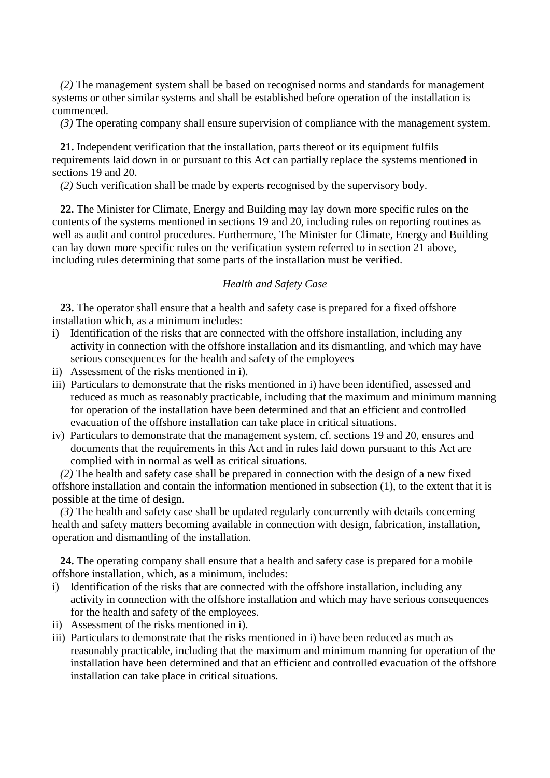*(2)* The management system shall be based on recognised norms and standards for management systems or other similar systems and shall be established before operation of the installation is commenced.

*(3)* The operating company shall ensure supervision of compliance with the management system.

**21.** Independent verification that the installation, parts thereof or its equipment fulfils requirements laid down in or pursuant to this Act can partially replace the systems mentioned in sections 19 and 20.

*(2)* Such verification shall be made by experts recognised by the supervisory body.

**22.** The Minister for Climate, Energy and Building may lay down more specific rules on the contents of the systems mentioned in sections 19 and 20, including rules on reporting routines as well as audit and control procedures. Furthermore, The Minister for Climate, Energy and Building can lay down more specific rules on the verification system referred to in section 21 above, including rules determining that some parts of the installation must be verified.

## *Health and Safety Case*

**23.** The operator shall ensure that a health and safety case is prepared for a fixed offshore installation which, as a minimum includes:

- i) Identification of the risks that are connected with the offshore installation, including any activity in connection with the offshore installation and its dismantling, and which may have serious consequences for the health and safety of the employees
- ii) Assessment of the risks mentioned in i).
- iii) Particulars to demonstrate that the risks mentioned in i) have been identified, assessed and reduced as much as reasonably practicable, including that the maximum and minimum manning for operation of the installation have been determined and that an efficient and controlled evacuation of the offshore installation can take place in critical situations.
- iv) Particulars to demonstrate that the management system, cf. sections 19 and 20, ensures and documents that the requirements in this Act and in rules laid down pursuant to this Act are complied with in normal as well as critical situations.

*(2)* The health and safety case shall be prepared in connection with the design of a new fixed offshore installation and contain the information mentioned in subsection (1), to the extent that it is possible at the time of design.

*(3)* The health and safety case shall be updated regularly concurrently with details concerning health and safety matters becoming available in connection with design, fabrication, installation, operation and dismantling of the installation.

**24.** The operating company shall ensure that a health and safety case is prepared for a mobile offshore installation, which, as a minimum, includes:

- i) Identification of the risks that are connected with the offshore installation, including any activity in connection with the offshore installation and which may have serious consequences for the health and safety of the employees.
- ii) Assessment of the risks mentioned in i).
- iii) Particulars to demonstrate that the risks mentioned in i) have been reduced as much as reasonably practicable, including that the maximum and minimum manning for operation of the installation have been determined and that an efficient and controlled evacuation of the offshore installation can take place in critical situations.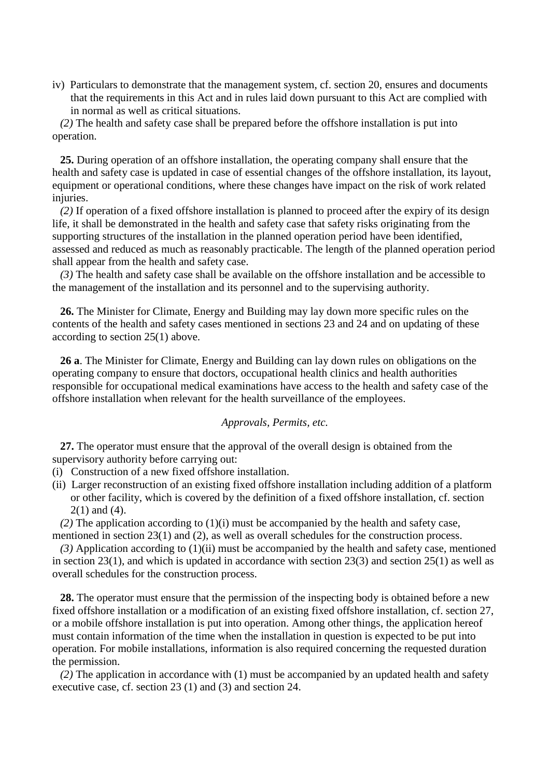iv) Particulars to demonstrate that the management system, cf. section 20, ensures and documents that the requirements in this Act and in rules laid down pursuant to this Act are complied with in normal as well as critical situations.

*(2)* The health and safety case shall be prepared before the offshore installation is put into operation.

**25.** During operation of an offshore installation, the operating company shall ensure that the health and safety case is updated in case of essential changes of the offshore installation, its layout, equipment or operational conditions, where these changes have impact on the risk of work related injuries.

*(2)* If operation of a fixed offshore installation is planned to proceed after the expiry of its design life, it shall be demonstrated in the health and safety case that safety risks originating from the supporting structures of the installation in the planned operation period have been identified, assessed and reduced as much as reasonably practicable. The length of the planned operation period shall appear from the health and safety case.

*(3)* The health and safety case shall be available on the offshore installation and be accessible to the management of the installation and its personnel and to the supervising authority.

**26.** The Minister for Climate, Energy and Building may lay down more specific rules on the contents of the health and safety cases mentioned in sections 23 and 24 and on updating of these according to section 25(1) above.

**26 a**. The Minister for Climate, Energy and Building can lay down rules on obligations on the operating company to ensure that doctors, occupational health clinics and health authorities responsible for occupational medical examinations have access to the health and safety case of the offshore installation when relevant for the health surveillance of the employees.

## *Approvals, Permits, etc.*

**27.** The operator must ensure that the approval of the overall design is obtained from the supervisory authority before carrying out:

- (i) Construction of a new fixed offshore installation.
- (ii) Larger reconstruction of an existing fixed offshore installation including addition of a platform or other facility, which is covered by the definition of a fixed offshore installation, cf. section 2(1) and (4).

 $(2)$  The application according to  $(1)(i)$  must be accompanied by the health and safety case, mentioned in section 23(1) and (2), as well as overall schedules for the construction process.

*(3)* Application according to (1)(ii) must be accompanied by the health and safety case, mentioned in section 23(1), and which is updated in accordance with section 23(3) and section 25(1) as well as overall schedules for the construction process.

**28.** The operator must ensure that the permission of the inspecting body is obtained before a new fixed offshore installation or a modification of an existing fixed offshore installation, cf. section 27, or a mobile offshore installation is put into operation. Among other things, the application hereof must contain information of the time when the installation in question is expected to be put into operation. For mobile installations, information is also required concerning the requested duration the permission.

*(2)* The application in accordance with (1) must be accompanied by an updated health and safety executive case, cf. section 23 (1) and (3) and section 24.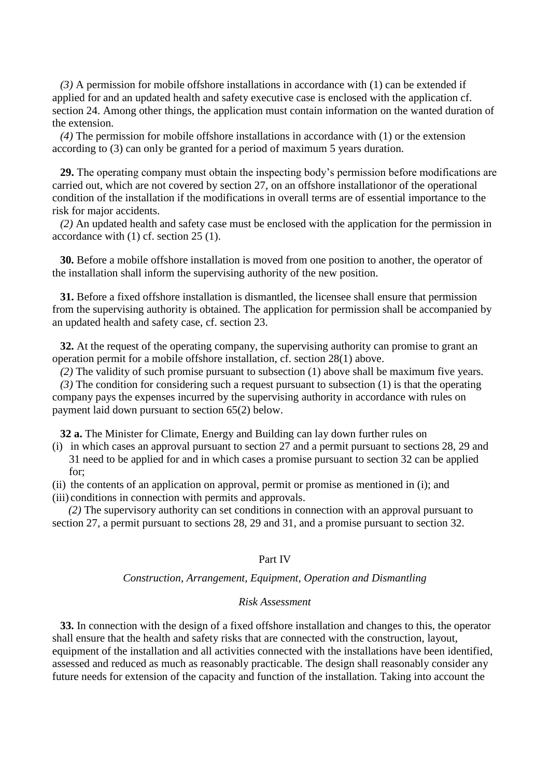*(3)* A permission for mobile offshore installations in accordance with (1) can be extended if applied for and an updated health and safety executive case is enclosed with the application cf. section 24. Among other things, the application must contain information on the wanted duration of the extension.

*(4)* The permission for mobile offshore installations in accordance with (1) or the extension according to (3) can only be granted for a period of maximum 5 years duration.

**29.** The operating company must obtain the inspecting body's permission before modifications are carried out, which are not covered by section 27, on an offshore installationor of the operational condition of the installation if the modifications in overall terms are of essential importance to the risk for major accidents.

*(2)* An updated health and safety case must be enclosed with the application for the permission in accordance with (1) cf. section 25 (1).

**30.** Before a mobile offshore installation is moved from one position to another, the operator of the installation shall inform the supervising authority of the new position.

**31.** Before a fixed offshore installation is dismantled, the licensee shall ensure that permission from the supervising authority is obtained. The application for permission shall be accompanied by an updated health and safety case, cf. section 23.

**32.** At the request of the operating company, the supervising authority can promise to grant an operation permit for a mobile offshore installation, cf. section 28(1) above.

*(2)* The validity of such promise pursuant to subsection (1) above shall be maximum five years.

*(3)* The condition for considering such a request pursuant to subsection (1) is that the operating company pays the expenses incurred by the supervising authority in accordance with rules on payment laid down pursuant to section 65(2) below.

**32 a.** The Minister for Climate, Energy and Building can lay down further rules on

- (i) in which cases an approval pursuant to section 27 and a permit pursuant to sections 28, 29 and 31 need to be applied for and in which cases a promise pursuant to section 32 can be applied  $for:$
- (ii) the contents of an application on approval, permit or promise as mentioned in (i); and

(iii) conditions in connection with permits and approvals.

 *(2)* The supervisory authority can set conditions in connection with an approval pursuant to section 27, a permit pursuant to sections 28, 29 and 31, and a promise pursuant to section 32.

### Part IV

#### *Construction, Arrangement, Equipment, Operation and Dismantling*

### *Risk Assessment*

**33.** In connection with the design of a fixed offshore installation and changes to this, the operator shall ensure that the health and safety risks that are connected with the construction, layout, equipment of the installation and all activities connected with the installations have been identified, assessed and reduced as much as reasonably practicable. The design shall reasonably consider any future needs for extension of the capacity and function of the installation. Taking into account the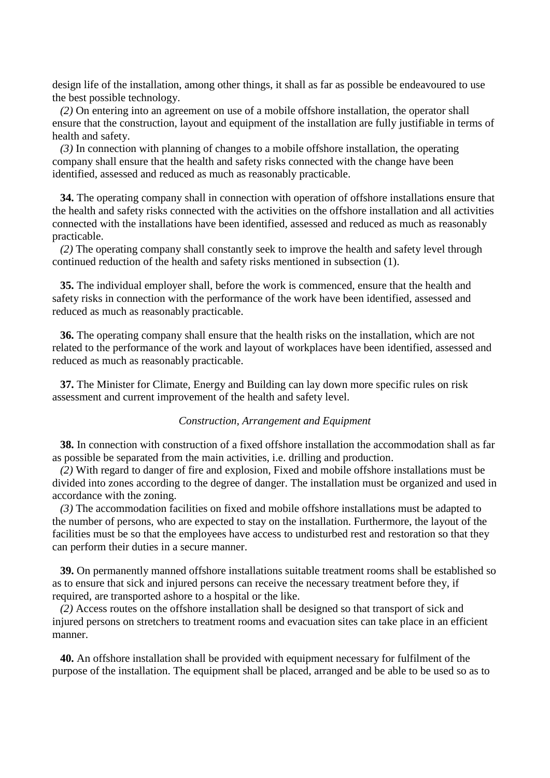design life of the installation, among other things, it shall as far as possible be endeavoured to use the best possible technology.

*(2)* On entering into an agreement on use of a mobile offshore installation, the operator shall ensure that the construction, layout and equipment of the installation are fully justifiable in terms of health and safety.

*(3)* In connection with planning of changes to a mobile offshore installation, the operating company shall ensure that the health and safety risks connected with the change have been identified, assessed and reduced as much as reasonably practicable.

**34.** The operating company shall in connection with operation of offshore installations ensure that the health and safety risks connected with the activities on the offshore installation and all activities connected with the installations have been identified, assessed and reduced as much as reasonably practicable.

*(2)* The operating company shall constantly seek to improve the health and safety level through continued reduction of the health and safety risks mentioned in subsection (1).

**35.** The individual employer shall, before the work is commenced, ensure that the health and safety risks in connection with the performance of the work have been identified, assessed and reduced as much as reasonably practicable.

**36.** The operating company shall ensure that the health risks on the installation, which are not related to the performance of the work and layout of workplaces have been identified, assessed and reduced as much as reasonably practicable.

**37.** The Minister for Climate, Energy and Building can lay down more specific rules on risk assessment and current improvement of the health and safety level.

### *Construction, Arrangement and Equipment*

**38.** In connection with construction of a fixed offshore installation the accommodation shall as far as possible be separated from the main activities, i.e. drilling and production.

*(2)* With regard to danger of fire and explosion, Fixed and mobile offshore installations must be divided into zones according to the degree of danger. The installation must be organized and used in accordance with the zoning.

*(3)* The accommodation facilities on fixed and mobile offshore installations must be adapted to the number of persons, who are expected to stay on the installation. Furthermore, the layout of the facilities must be so that the employees have access to undisturbed rest and restoration so that they can perform their duties in a secure manner.

**39.** On permanently manned offshore installations suitable treatment rooms shall be established so as to ensure that sick and injured persons can receive the necessary treatment before they, if required, are transported ashore to a hospital or the like.

*(2)* Access routes on the offshore installation shall be designed so that transport of sick and injured persons on stretchers to treatment rooms and evacuation sites can take place in an efficient manner.

**40.** An offshore installation shall be provided with equipment necessary for fulfilment of the purpose of the installation. The equipment shall be placed, arranged and be able to be used so as to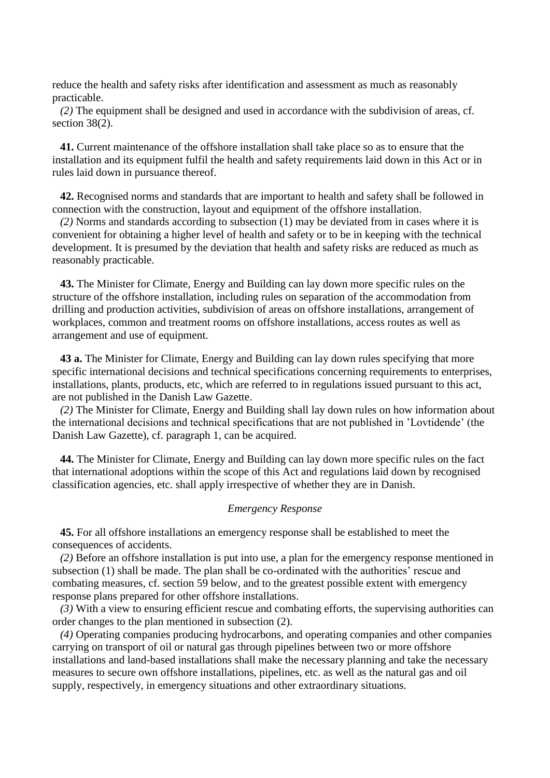reduce the health and safety risks after identification and assessment as much as reasonably practicable.

*(2)* The equipment shall be designed and used in accordance with the subdivision of areas, cf. section 38(2).

**41.** Current maintenance of the offshore installation shall take place so as to ensure that the installation and its equipment fulfil the health and safety requirements laid down in this Act or in rules laid down in pursuance thereof.

**42.** Recognised norms and standards that are important to health and safety shall be followed in connection with the construction, layout and equipment of the offshore installation.

*(2)* Norms and standards according to subsection (1) may be deviated from in cases where it is convenient for obtaining a higher level of health and safety or to be in keeping with the technical development. It is presumed by the deviation that health and safety risks are reduced as much as reasonably practicable.

**43.** The Minister for Climate, Energy and Building can lay down more specific rules on the structure of the offshore installation, including rules on separation of the accommodation from drilling and production activities, subdivision of areas on offshore installations, arrangement of workplaces, common and treatment rooms on offshore installations, access routes as well as arrangement and use of equipment.

**43 a.** The Minister for Climate, Energy and Building can lay down rules specifying that more specific international decisions and technical specifications concerning requirements to enterprises, installations, plants, products, etc, which are referred to in regulations issued pursuant to this act, are not published in the Danish Law Gazette.

*(2)* The Minister for Climate, Energy and Building shall lay down rules on how information about the international decisions and technical specifications that are not published in 'Lovtidende' (the Danish Law Gazette), cf. paragraph 1, can be acquired.

**44.** The Minister for Climate, Energy and Building can lay down more specific rules on the fact that international adoptions within the scope of this Act and regulations laid down by recognised classification agencies, etc. shall apply irrespective of whether they are in Danish.

#### *Emergency Response*

**45.** For all offshore installations an emergency response shall be established to meet the consequences of accidents.

*(2)* Before an offshore installation is put into use, a plan for the emergency response mentioned in subsection (1) shall be made. The plan shall be co-ordinated with the authorities' rescue and combating measures, cf. section 59 below, and to the greatest possible extent with emergency response plans prepared for other offshore installations.

*(3)* With a view to ensuring efficient rescue and combating efforts, the supervising authorities can order changes to the plan mentioned in subsection (2).

*(4)* Operating companies producing hydrocarbons, and operating companies and other companies carrying on transport of oil or natural gas through pipelines between two or more offshore installations and land-based installations shall make the necessary planning and take the necessary measures to secure own offshore installations, pipelines, etc. as well as the natural gas and oil supply, respectively, in emergency situations and other extraordinary situations.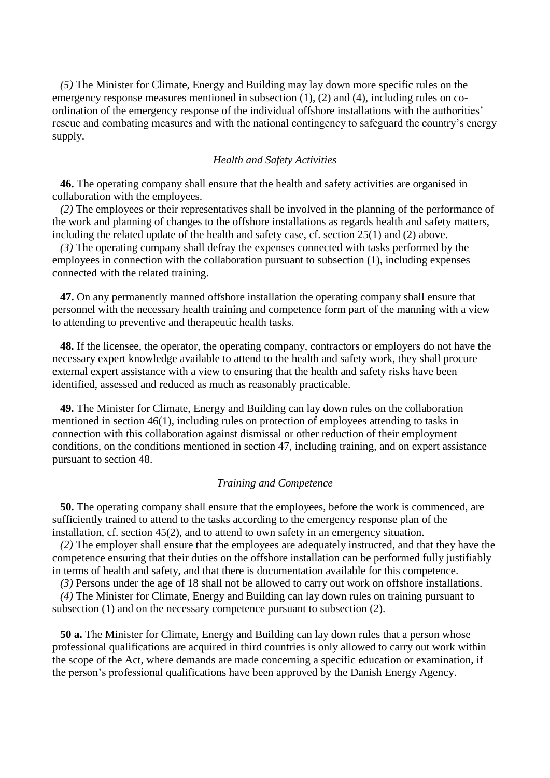*(5)* The Minister for Climate, Energy and Building may lay down more specific rules on the emergency response measures mentioned in subsection (1), (2) and (4), including rules on coordination of the emergency response of the individual offshore installations with the authorities' rescue and combating measures and with the national contingency to safeguard the country's energy supply.

### *Health and Safety Activities*

**46.** The operating company shall ensure that the health and safety activities are organised in collaboration with the employees.

*(2)* The employees or their representatives shall be involved in the planning of the performance of the work and planning of changes to the offshore installations as regards health and safety matters, including the related update of the health and safety case, cf. section 25(1) and (2) above.

*(3)* The operating company shall defray the expenses connected with tasks performed by the employees in connection with the collaboration pursuant to subsection (1), including expenses connected with the related training.

**47.** On any permanently manned offshore installation the operating company shall ensure that personnel with the necessary health training and competence form part of the manning with a view to attending to preventive and therapeutic health tasks.

**48.** If the licensee, the operator, the operating company, contractors or employers do not have the necessary expert knowledge available to attend to the health and safety work, they shall procure external expert assistance with a view to ensuring that the health and safety risks have been identified, assessed and reduced as much as reasonably practicable.

**49.** The Minister for Climate, Energy and Building can lay down rules on the collaboration mentioned in section 46(1), including rules on protection of employees attending to tasks in connection with this collaboration against dismissal or other reduction of their employment conditions, on the conditions mentioned in section 47, including training, and on expert assistance pursuant to section 48.

### *Training and Competence*

**50.** The operating company shall ensure that the employees, before the work is commenced, are sufficiently trained to attend to the tasks according to the emergency response plan of the installation, cf. section 45(2), and to attend to own safety in an emergency situation.

*(2)* The employer shall ensure that the employees are adequately instructed, and that they have the competence ensuring that their duties on the offshore installation can be performed fully justifiably in terms of health and safety, and that there is documentation available for this competence.

*(3)* Persons under the age of 18 shall not be allowed to carry out work on offshore installations.

*(4)* The Minister for Climate, Energy and Building can lay down rules on training pursuant to subsection (1) and on the necessary competence pursuant to subsection (2).

**50 a.** The Minister for Climate, Energy and Building can lay down rules that a person whose professional qualifications are acquired in third countries is only allowed to carry out work within the scope of the Act, where demands are made concerning a specific education or examination, if the person's professional qualifications have been approved by the Danish Energy Agency.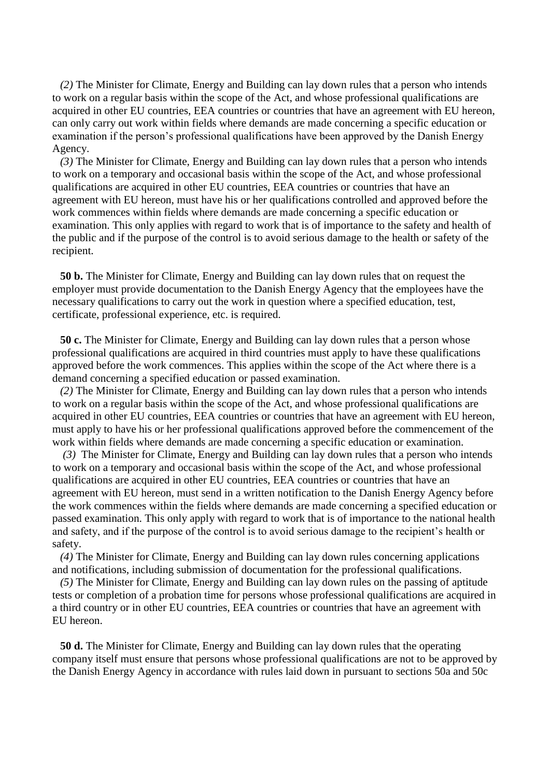*(2)* The Minister for Climate, Energy and Building can lay down rules that a person who intends to work on a regular basis within the scope of the Act, and whose professional qualifications are acquired in other EU countries, EEA countries or countries that have an agreement with EU hereon, can only carry out work within fields where demands are made concerning a specific education or examination if the person's professional qualifications have been approved by the Danish Energy Agency.

*(3)* The Minister for Climate, Energy and Building can lay down rules that a person who intends to work on a temporary and occasional basis within the scope of the Act, and whose professional qualifications are acquired in other EU countries, EEA countries or countries that have an agreement with EU hereon, must have his or her qualifications controlled and approved before the work commences within fields where demands are made concerning a specific education or examination. This only applies with regard to work that is of importance to the safety and health of the public and if the purpose of the control is to avoid serious damage to the health or safety of the recipient.

**50 b.** The Minister for Climate, Energy and Building can lay down rules that on request the employer must provide documentation to the Danish Energy Agency that the employees have the necessary qualifications to carry out the work in question where a specified education, test, certificate, professional experience, etc. is required.

**50 c.** The Minister for Climate, Energy and Building can lay down rules that a person whose professional qualifications are acquired in third countries must apply to have these qualifications approved before the work commences. This applies within the scope of the Act where there is a demand concerning a specified education or passed examination.

*(2)* The Minister for Climate, Energy and Building can lay down rules that a person who intends to work on a regular basis within the scope of the Act, and whose professional qualifications are acquired in other EU countries, EEA countries or countries that have an agreement with EU hereon, must apply to have his or her professional qualifications approved before the commencement of the work within fields where demands are made concerning a specific education or examination.

*(3)* The Minister for Climate, Energy and Building can lay down rules that a person who intends to work on a temporary and occasional basis within the scope of the Act, and whose professional qualifications are acquired in other EU countries, EEA countries or countries that have an agreement with EU hereon, must send in a written notification to the Danish Energy Agency before the work commences within the fields where demands are made concerning a specified education or passed examination. This only apply with regard to work that is of importance to the national health and safety, and if the purpose of the control is to avoid serious damage to the recipient's health or safety.

*(4)* The Minister for Climate, Energy and Building can lay down rules concerning applications and notifications, including submission of documentation for the professional qualifications.

*(5)* The Minister for Climate, Energy and Building can lay down rules on the passing of aptitude tests or completion of a probation time for persons whose professional qualifications are acquired in a third country or in other EU countries, EEA countries or countries that have an agreement with EU hereon.

**50 d.** The Minister for Climate, Energy and Building can lay down rules that the operating company itself must ensure that persons whose professional qualifications are not to be approved by the Danish Energy Agency in accordance with rules laid down in pursuant to sections 50a and 50c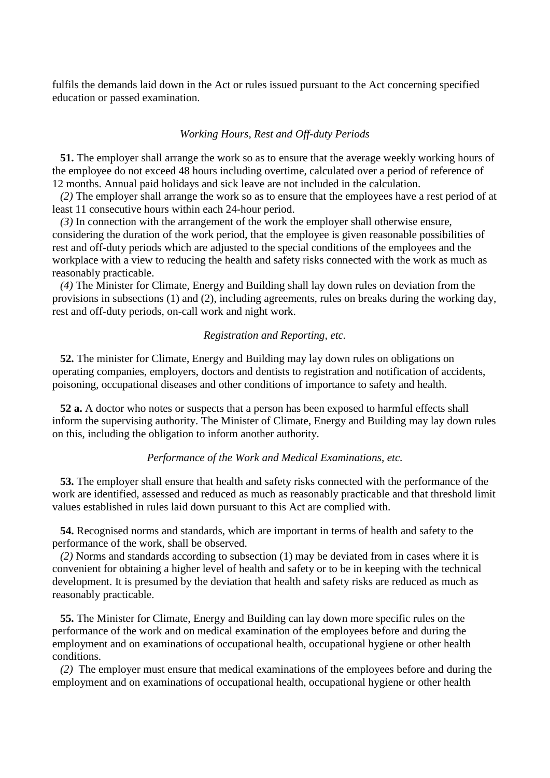fulfils the demands laid down in the Act or rules issued pursuant to the Act concerning specified education or passed examination.

### *Working Hours, Rest and Off-duty Periods*

**51.** The employer shall arrange the work so as to ensure that the average weekly working hours of the employee do not exceed 48 hours including overtime, calculated over a period of reference of 12 months. Annual paid holidays and sick leave are not included in the calculation.

*(2)* The employer shall arrange the work so as to ensure that the employees have a rest period of at least 11 consecutive hours within each 24-hour period.

*(3)* In connection with the arrangement of the work the employer shall otherwise ensure, considering the duration of the work period, that the employee is given reasonable possibilities of rest and off-duty periods which are adjusted to the special conditions of the employees and the workplace with a view to reducing the health and safety risks connected with the work as much as reasonably practicable.

*(4)* The Minister for Climate, Energy and Building shall lay down rules on deviation from the provisions in subsections (1) and (2), including agreements, rules on breaks during the working day, rest and off-duty periods, on-call work and night work.

### *Registration and Reporting, etc.*

**52.** The minister for Climate, Energy and Building may lay down rules on obligations on operating companies, employers, doctors and dentists to registration and notification of accidents, poisoning, occupational diseases and other conditions of importance to safety and health.

**52 a.** A doctor who notes or suspects that a person has been exposed to harmful effects shall inform the supervising authority. The Minister of Climate, Energy and Building may lay down rules on this, including the obligation to inform another authority.

### *Performance of the Work and Medical Examinations, etc.*

**53.** The employer shall ensure that health and safety risks connected with the performance of the work are identified, assessed and reduced as much as reasonably practicable and that threshold limit values established in rules laid down pursuant to this Act are complied with.

**54.** Recognised norms and standards, which are important in terms of health and safety to the performance of the work, shall be observed.

*(2)* Norms and standards according to subsection (1) may be deviated from in cases where it is convenient for obtaining a higher level of health and safety or to be in keeping with the technical development. It is presumed by the deviation that health and safety risks are reduced as much as reasonably practicable.

**55.** The Minister for Climate, Energy and Building can lay down more specific rules on the performance of the work and on medical examination of the employees before and during the employment and on examinations of occupational health, occupational hygiene or other health conditions.

*(2)* The employer must ensure that medical examinations of the employees before and during the employment and on examinations of occupational health, occupational hygiene or other health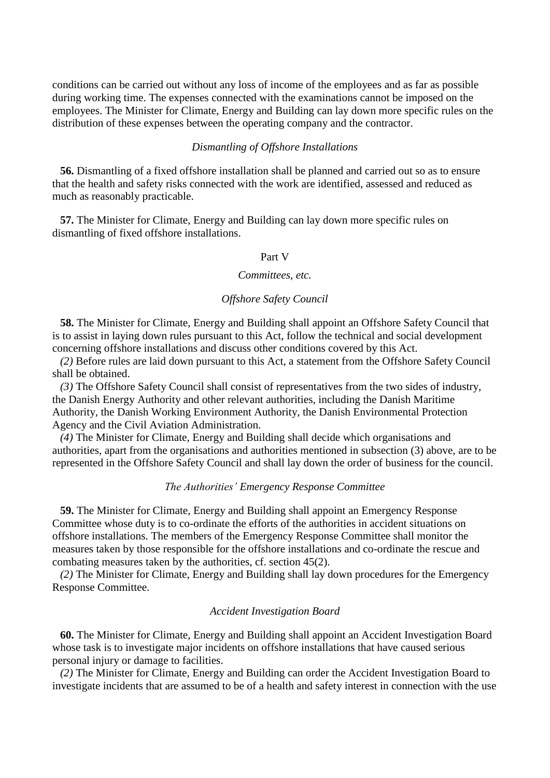conditions can be carried out without any loss of income of the employees and as far as possible during working time. The expenses connected with the examinations cannot be imposed on the employees. The Minister for Climate, Energy and Building can lay down more specific rules on the distribution of these expenses between the operating company and the contractor.

### *Dismantling of Offshore Installations*

**56.** Dismantling of a fixed offshore installation shall be planned and carried out so as to ensure that the health and safety risks connected with the work are identified, assessed and reduced as much as reasonably practicable.

**57.** The Minister for Climate, Energy and Building can lay down more specific rules on dismantling of fixed offshore installations.

#### Part V

#### *Committees, etc.*

## *Offshore Safety Council*

**58.** The Minister for Climate, Energy and Building shall appoint an Offshore Safety Council that is to assist in laying down rules pursuant to this Act, follow the technical and social development concerning offshore installations and discuss other conditions covered by this Act.

*(2)* Before rules are laid down pursuant to this Act, a statement from the Offshore Safety Council shall be obtained.

*(3)* The Offshore Safety Council shall consist of representatives from the two sides of industry, the Danish Energy Authority and other relevant authorities, including the Danish Maritime Authority, the Danish Working Environment Authority, the Danish Environmental Protection Agency and the Civil Aviation Administration.

*(4)* The Minister for Climate, Energy and Building shall decide which organisations and authorities, apart from the organisations and authorities mentioned in subsection (3) above, are to be represented in the Offshore Safety Council and shall lay down the order of business for the council.

### *The Authorities' Emergency Response Committee*

**59.** The Minister for Climate, Energy and Building shall appoint an Emergency Response Committee whose duty is to co-ordinate the efforts of the authorities in accident situations on offshore installations. The members of the Emergency Response Committee shall monitor the measures taken by those responsible for the offshore installations and co-ordinate the rescue and combating measures taken by the authorities, cf. section 45(2).

*(2)* The Minister for Climate, Energy and Building shall lay down procedures for the Emergency Response Committee.

### *Accident Investigation Board*

**60.** The Minister for Climate, Energy and Building shall appoint an Accident Investigation Board whose task is to investigate major incidents on offshore installations that have caused serious personal injury or damage to facilities.

*(2)* The Minister for Climate, Energy and Building can order the Accident Investigation Board to investigate incidents that are assumed to be of a health and safety interest in connection with the use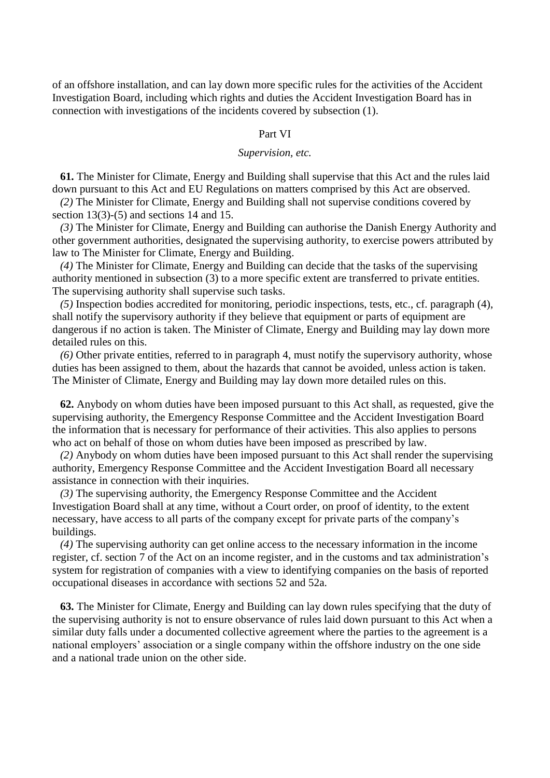of an offshore installation, and can lay down more specific rules for the activities of the Accident Investigation Board, including which rights and duties the Accident Investigation Board has in connection with investigations of the incidents covered by subsection (1).

#### Part VI

### *Supervision, etc.*

**61.** The Minister for Climate, Energy and Building shall supervise that this Act and the rules laid down pursuant to this Act and EU Regulations on matters comprised by this Act are observed.

*(2)* The Minister for Climate, Energy and Building shall not supervise conditions covered by section 13(3)-(5) and sections 14 and 15.

*(3)* The Minister for Climate, Energy and Building can authorise the Danish Energy Authority and other government authorities, designated the supervising authority, to exercise powers attributed by law to The Minister for Climate, Energy and Building.

*(4)* The Minister for Climate, Energy and Building can decide that the tasks of the supervising authority mentioned in subsection (3) to a more specific extent are transferred to private entities. The supervising authority shall supervise such tasks.

*(5)* Inspection bodies accredited for monitoring, periodic inspections, tests, etc., cf. paragraph (4), shall notify the supervisory authority if they believe that equipment or parts of equipment are dangerous if no action is taken. The Minister of Climate, Energy and Building may lay down more detailed rules on this.

*(6)* Other private entities, referred to in paragraph 4, must notify the supervisory authority, whose duties has been assigned to them, about the hazards that cannot be avoided, unless action is taken. The Minister of Climate, Energy and Building may lay down more detailed rules on this.

**62.** Anybody on whom duties have been imposed pursuant to this Act shall, as requested, give the supervising authority, the Emergency Response Committee and the Accident Investigation Board the information that is necessary for performance of their activities. This also applies to persons who act on behalf of those on whom duties have been imposed as prescribed by law.

*(2)* Anybody on whom duties have been imposed pursuant to this Act shall render the supervising authority, Emergency Response Committee and the Accident Investigation Board all necessary assistance in connection with their inquiries.

*(3)* The supervising authority, the Emergency Response Committee and the Accident Investigation Board shall at any time, without a Court order, on proof of identity, to the extent necessary, have access to all parts of the company except for private parts of the company's buildings.

*(4)* The supervising authority can get online access to the necessary information in the income register, cf. section 7 of the Act on an income register, and in the customs and tax administration's system for registration of companies with a view to identifying companies on the basis of reported occupational diseases in accordance with sections 52 and 52a.

**63.** The Minister for Climate, Energy and Building can lay down rules specifying that the duty of the supervising authority is not to ensure observance of rules laid down pursuant to this Act when a similar duty falls under a documented collective agreement where the parties to the agreement is a national employers' association or a single company within the offshore industry on the one side and a national trade union on the other side.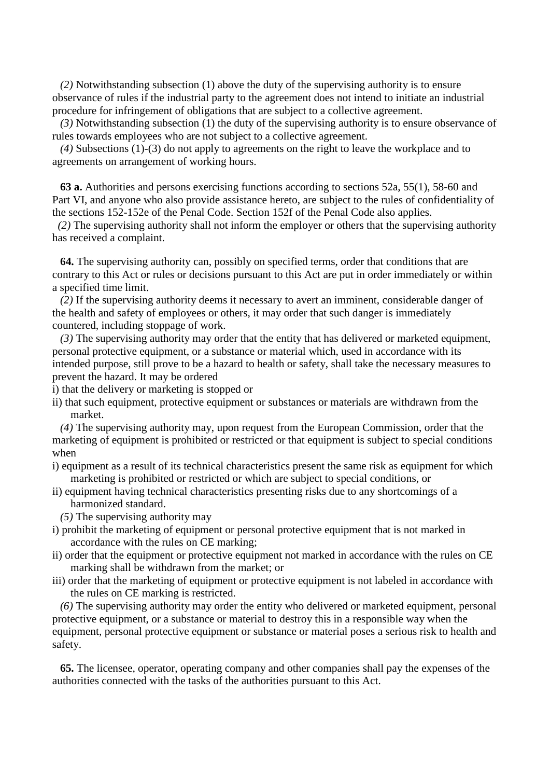*(2)* Notwithstanding subsection (1) above the duty of the supervising authority is to ensure observance of rules if the industrial party to the agreement does not intend to initiate an industrial procedure for infringement of obligations that are subject to a collective agreement.

*(3)* Notwithstanding subsection (1) the duty of the supervising authority is to ensure observance of rules towards employees who are not subject to a collective agreement.

*(4)* Subsections (1)-(3) do not apply to agreements on the right to leave the workplace and to agreements on arrangement of working hours.

**63 a.** Authorities and persons exercising functions according to sections 52a, 55(1), 58-60 and Part VI, and anyone who also provide assistance hereto, are subject to the rules of confidentiality of the sections 152-152e of the Penal Code. Section 152f of the Penal Code also applies.

 *(2)* The supervising authority shall not inform the employer or others that the supervising authority has received a complaint.

**64.** The supervising authority can, possibly on specified terms, order that conditions that are contrary to this Act or rules or decisions pursuant to this Act are put in order immediately or within a specified time limit.

*(2)* If the supervising authority deems it necessary to avert an imminent, considerable danger of the health and safety of employees or others, it may order that such danger is immediately countered, including stoppage of work.

*(3)* The supervising authority may order that the entity that has delivered or marketed equipment, personal protective equipment, or a substance or material which, used in accordance with its intended purpose, still prove to be a hazard to health or safety, shall take the necessary measures to prevent the hazard. It may be ordered

i) that the delivery or marketing is stopped or

ii) that such equipment, protective equipment or substances or materials are withdrawn from the market.

*(4)* The supervising authority may, upon request from the European Commission, order that the marketing of equipment is prohibited or restricted or that equipment is subject to special conditions when

- i) equipment as a result of its technical characteristics present the same risk as equipment for which marketing is prohibited or restricted or which are subject to special conditions, or
- ii) equipment having technical characteristics presenting risks due to any shortcomings of a harmonized standard.

*(5)* The supervising authority may

- i) prohibit the marketing of equipment or personal protective equipment that is not marked in accordance with the rules on CE marking;
- ii) order that the equipment or protective equipment not marked in accordance with the rules on CE marking shall be withdrawn from the market; or
- iii) order that the marketing of equipment or protective equipment is not labeled in accordance with the rules on CE marking is restricted.

*(6)* The supervising authority may order the entity who delivered or marketed equipment, personal protective equipment, or a substance or material to destroy this in a responsible way when the equipment, personal protective equipment or substance or material poses a serious risk to health and safety.

**65.** The licensee, operator, operating company and other companies shall pay the expenses of the authorities connected with the tasks of the authorities pursuant to this Act.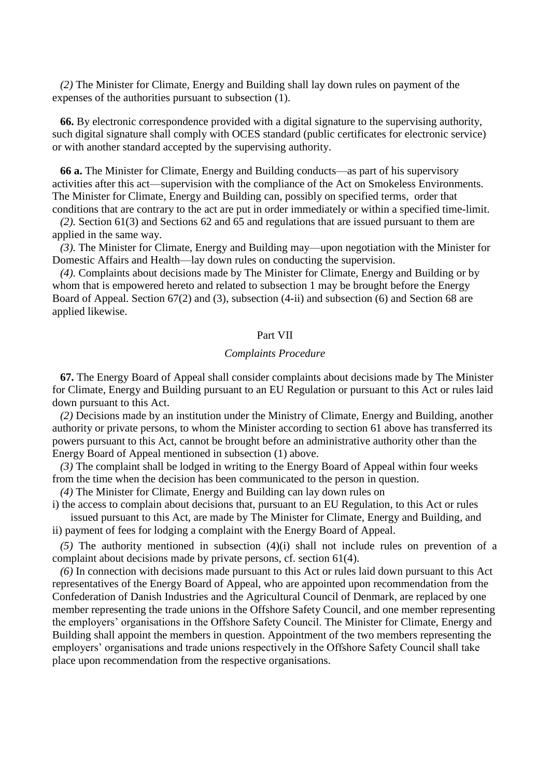*(2)* The Minister for Climate, Energy and Building shall lay down rules on payment of the expenses of the authorities pursuant to subsection (1).

**66.** By electronic correspondence provided with a digital signature to the supervising authority, such digital signature shall comply with OCES standard (public certificates for electronic service) or with another standard accepted by the supervising authority.

**66 a.** The Minister for Climate, Energy and Building conducts—as part of his supervisory activities after this act—supervision with the compliance of the Act on Smokeless Environments. The Minister for Climate, Energy and Building can, possibly on specified terms, order that conditions that are contrary to the act are put in order immediately or within a specified time-limit.

*(2).* Section 61(3) and Sections 62 and 65 and regulations that are issued pursuant to them are applied in the same way.

*(3).* The Minister for Climate, Energy and Building may—upon negotiation with the Minister for Domestic Affairs and Health—lay down rules on conducting the supervision.

*(4).* Complaints about decisions made by The Minister for Climate, Energy and Building or by whom that is empowered hereto and related to subsection 1 may be brought before the Energy Board of Appeal. Section 67(2) and (3), subsection (4-ii) and subsection (6) and Section 68 are applied likewise.

### Part VII

#### *Complaints Procedure*

**67.** The Energy Board of Appeal shall consider complaints about decisions made by The Minister for Climate, Energy and Building pursuant to an EU Regulation or pursuant to this Act or rules laid down pursuant to this Act.

*(2)* Decisions made by an institution under the Ministry of Climate, Energy and Building, another authority or private persons, to whom the Minister according to section 61 above has transferred its powers pursuant to this Act, cannot be brought before an administrative authority other than the Energy Board of Appeal mentioned in subsection (1) above.

*(3)* The complaint shall be lodged in writing to the Energy Board of Appeal within four weeks from the time when the decision has been communicated to the person in question.

*(4)* The Minister for Climate, Energy and Building can lay down rules on

i) the access to complain about decisions that, pursuant to an EU Regulation, to this Act or rules issued pursuant to this Act, are made by The Minister for Climate, Energy and Building, and ii) payment of fees for lodging a complaint with the Energy Board of Appeal.

*(5)* The authority mentioned in subsection (4)(i) shall not include rules on prevention of a complaint about decisions made by private persons, cf. section 61(4).

*(6)* In connection with decisions made pursuant to this Act or rules laid down pursuant to this Act representatives of the Energy Board of Appeal, who are appointed upon recommendation from the Confederation of Danish Industries and the Agricultural Council of Denmark, are replaced by one member representing the trade unions in the Offshore Safety Council, and one member representing the employers' organisations in the Offshore Safety Council. The Minister for Climate, Energy and Building shall appoint the members in question. Appointment of the two members representing the employers' organisations and trade unions respectively in the Offshore Safety Council shall take place upon recommendation from the respective organisations.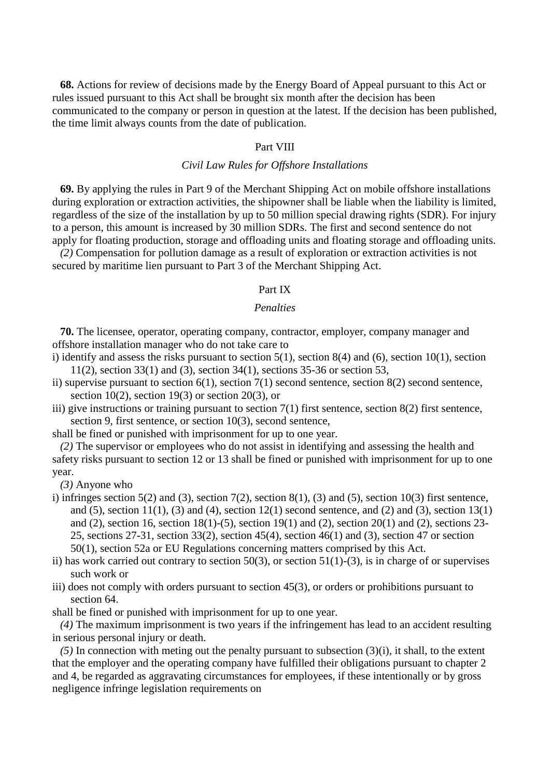**68.** Actions for review of decisions made by the Energy Board of Appeal pursuant to this Act or rules issued pursuant to this Act shall be brought six month after the decision has been communicated to the company or person in question at the latest. If the decision has been published, the time limit always counts from the date of publication.

### Part VIII

### *Civil Law Rules for Offshore Installations*

**69.** By applying the rules in Part 9 of the Merchant Shipping Act on mobile offshore installations during exploration or extraction activities, the shipowner shall be liable when the liability is limited, regardless of the size of the installation by up to 50 million special drawing rights (SDR). For injury to a person, this amount is increased by 30 million SDRs. The first and second sentence do not apply for floating production, storage and offloading units and floating storage and offloading units.

*(2)* Compensation for pollution damage as a result of exploration or extraction activities is not secured by maritime lien pursuant to Part 3 of the Merchant Shipping Act.

### Part IX

## *Penalties*

**70.** The licensee, operator, operating company, contractor, employer, company manager and offshore installation manager who do not take care to

- i) identify and assess the risks pursuant to section  $5(1)$ , section  $8(4)$  and  $(6)$ , section  $10(1)$ , section 11(2), section 33(1) and (3), section 34(1), sections 35-36 or section 53,
- ii) supervise pursuant to section 6(1), section 7(1) second sentence, section 8(2) second sentence, section 10(2), section 19(3) or section 20(3), or
- iii) give instructions or training pursuant to section 7(1) first sentence, section 8(2) first sentence, section 9, first sentence, or section 10(3), second sentence,

shall be fined or punished with imprisonment for up to one year.

*(2)* The supervisor or employees who do not assist in identifying and assessing the health and safety risks pursuant to section 12 or 13 shall be fined or punished with imprisonment for up to one year.

*(3)* Anyone who

- i) infringes section 5(2) and (3), section 7(2), section 8(1), (3) and (5), section 10(3) first sentence, and (5), section 11(1), (3) and (4), section 12(1) second sentence, and (2) and (3), section 13(1) and (2), section 16, section 18(1)-(5), section 19(1) and (2), section 20(1) and (2), sections 23- 25, sections 27-31, section 33(2), section 45(4), section 46(1) and (3), section 47 or section 50(1), section 52a or EU Regulations concerning matters comprised by this Act.
- ii) has work carried out contrary to section 50(3), or section 51(1)-(3), is in charge of or supervises such work or
- iii) does not comply with orders pursuant to section 45(3), or orders or prohibitions pursuant to section 64.

shall be fined or punished with imprisonment for up to one year.

*(4)* The maximum imprisonment is two years if the infringement has lead to an accident resulting in serious personal injury or death.

*(5)* In connection with meting out the penalty pursuant to subsection (3)(i), it shall, to the extent that the employer and the operating company have fulfilled their obligations pursuant to chapter 2 and 4, be regarded as aggravating circumstances for employees, if these intentionally or by gross negligence infringe legislation requirements on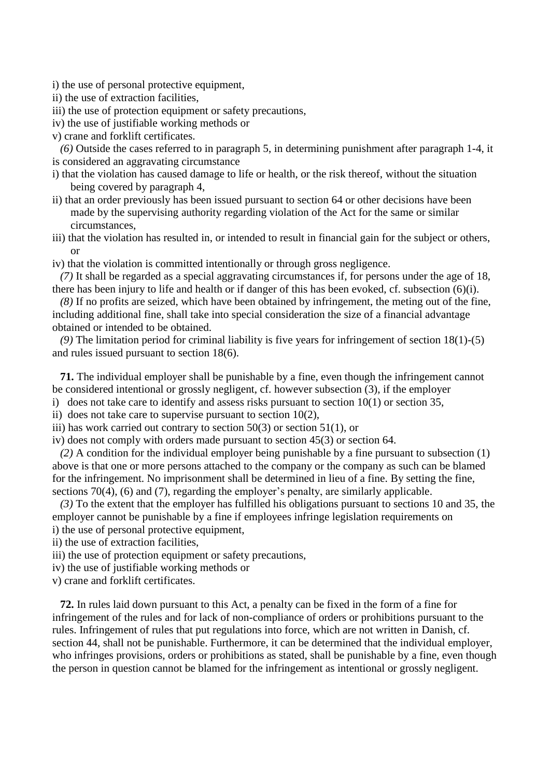i) the use of personal protective equipment,

ii) the use of extraction facilities,

iii) the use of protection equipment or safety precautions,

- iv) the use of justifiable working methods or
- v) crane and forklift certificates.

*(6)* Outside the cases referred to in paragraph 5, in determining punishment after paragraph 1-4, it is considered an aggravating circumstance

- i) that the violation has caused damage to life or health, or the risk thereof, without the situation being covered by paragraph 4,
- ii) that an order previously has been issued pursuant to section 64 or other decisions have been made by the supervising authority regarding violation of the Act for the same or similar circumstances,
- iii) that the violation has resulted in, or intended to result in financial gain for the subject or others, or
- iv) that the violation is committed intentionally or through gross negligence.

*(7)* It shall be regarded as a special aggravating circumstances if, for persons under the age of 18, there has been injury to life and health or if danger of this has been evoked, cf. subsection (6)(i).

*(8)* If no profits are seized, which have been obtained by infringement, the meting out of the fine, including additional fine, shall take into special consideration the size of a financial advantage obtained or intended to be obtained.

*(9)* The limitation period for criminal liability is five years for infringement of section 18(1)-(5) and rules issued pursuant to section 18(6).

**71.** The individual employer shall be punishable by a fine, even though the infringement cannot be considered intentional or grossly negligent, cf. however subsection (3), if the employer

i) does not take care to identify and assess risks pursuant to section 10(1) or section 35,

ii) does not take care to supervise pursuant to section  $10(2)$ ,

iii) has work carried out contrary to section  $50(3)$  or section  $51(1)$ , or

iv) does not comply with orders made pursuant to section 45(3) or section 64.

*(2)* A condition for the individual employer being punishable by a fine pursuant to subsection (1) above is that one or more persons attached to the company or the company as such can be blamed for the infringement. No imprisonment shall be determined in lieu of a fine. By setting the fine, sections 70(4), (6) and (7), regarding the employer's penalty, are similarly applicable.

*(3)* To the extent that the employer has fulfilled his obligations pursuant to sections 10 and 35, the employer cannot be punishable by a fine if employees infringe legislation requirements on i) the use of personal protective equipment,

ii) the use of extraction facilities,

- iii) the use of protection equipment or safety precautions,
- iv) the use of justifiable working methods or
- v) crane and forklift certificates.

**72.** In rules laid down pursuant to this Act, a penalty can be fixed in the form of a fine for infringement of the rules and for lack of non-compliance of orders or prohibitions pursuant to the rules. Infringement of rules that put regulations into force, which are not written in Danish, cf. section 44, shall not be punishable. Furthermore, it can be determined that the individual employer, who infringes provisions, orders or prohibitions as stated, shall be punishable by a fine, even though the person in question cannot be blamed for the infringement as intentional or grossly negligent.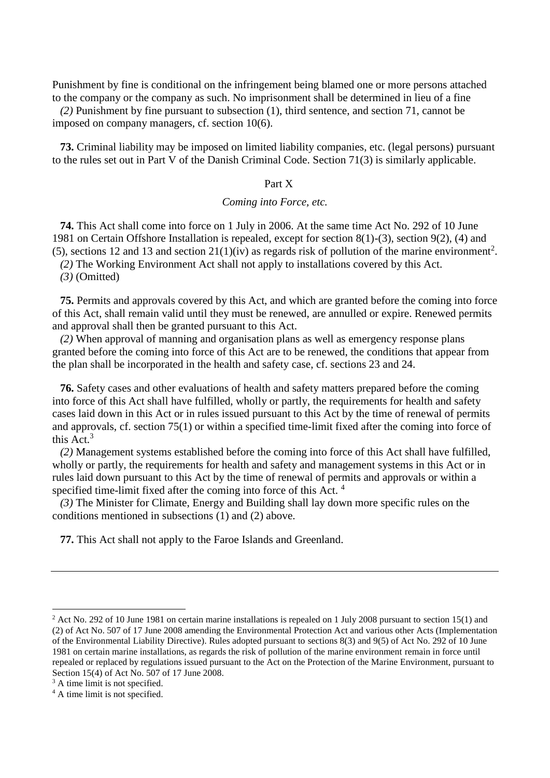Punishment by fine is conditional on the infringement being blamed one or more persons attached to the company or the company as such. No imprisonment shall be determined in lieu of a fine

*(2)* Punishment by fine pursuant to subsection (1), third sentence, and section 71, cannot be imposed on company managers, cf. section 10(6).

**73.** Criminal liability may be imposed on limited liability companies, etc. (legal persons) pursuant to the rules set out in Part V of the Danish Criminal Code. Section 71(3) is similarly applicable.

### Part X

### *Coming into Force, etc.*

**74.** This Act shall come into force on 1 July in 2006. At the same time Act No. 292 of 10 June 1981 on Certain Offshore Installation is repealed, except for section 8(1)-(3), section 9(2), (4) and (5), sections 12 and 13 and section  $21(1)(iv)$  as regards risk of pollution of the marine environment<sup>2</sup>.

*(2)* The Working Environment Act shall not apply to installations covered by this Act.

*(3)* (Omitted)

**75.** Permits and approvals covered by this Act, and which are granted before the coming into force of this Act, shall remain valid until they must be renewed, are annulled or expire. Renewed permits and approval shall then be granted pursuant to this Act.

*(2)* When approval of manning and organisation plans as well as emergency response plans granted before the coming into force of this Act are to be renewed, the conditions that appear from the plan shall be incorporated in the health and safety case, cf. sections 23 and 24.

**76.** Safety cases and other evaluations of health and safety matters prepared before the coming into force of this Act shall have fulfilled, wholly or partly, the requirements for health and safety cases laid down in this Act or in rules issued pursuant to this Act by the time of renewal of permits and approvals, cf. section 75(1) or within a specified time-limit fixed after the coming into force of this Act  $3$ 

*(2)* Management systems established before the coming into force of this Act shall have fulfilled, wholly or partly, the requirements for health and safety and management systems in this Act or in rules laid down pursuant to this Act by the time of renewal of permits and approvals or within a specified time-limit fixed after the coming into force of this Act.<sup>4</sup>

*(3)* The Minister for Climate, Energy and Building shall lay down more specific rules on the conditions mentioned in subsections (1) and (2) above.

**77.** This Act shall not apply to the Faroe Islands and Greenland.

<u>.</u>

<sup>&</sup>lt;sup>2</sup> Act No. 292 of 10 June 1981 on certain marine installations is repealed on 1 July 2008 pursuant to section 15(1) and (2) of Act No. 507 of 17 June 2008 amending the Environmental Protection Act and various other Acts (Implementation of the Environmental Liability Directive). Rules adopted pursuant to sections 8(3) and 9(5) of Act No. 292 of 10 June 1981 on certain marine installations, as regards the risk of pollution of the marine environment remain in force until repealed or replaced by regulations issued pursuant to the Act on the Protection of the Marine Environment, pursuant to Section 15(4) of Act No. 507 of 17 June 2008.

<sup>&</sup>lt;sup>3</sup> A time limit is not specified.

<sup>&</sup>lt;sup>4</sup> A time limit is not specified.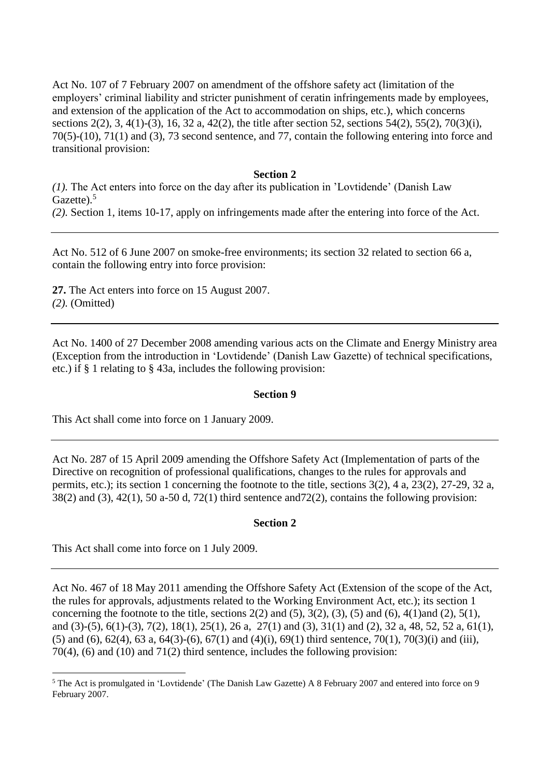Act No. 107 of 7 February 2007 on amendment of the offshore safety act (limitation of the employers' criminal liability and stricter punishment of ceratin infringements made by employees, and extension of the application of the Act to accommodation on ships, etc.), which concerns sections 2(2), 3, 4(1)-(3), 16, 32 a, 42(2), the title after section 52, sections 54(2), 55(2), 70(3)(i), 70(5)-(10), 71(1) and (3), 73 second sentence, and 77, contain the following entering into force and transitional provision:

### **Section 2**

*(1).* The Act enters into force on the day after its publication in 'Lovtidende' (Danish Law Gazette).<sup>5</sup>

*(2).* Section 1, items 10-17, apply on infringements made after the entering into force of the Act.

Act No. 512 of 6 June 2007 on smoke-free environments; its section 32 related to section 66 a, contain the following entry into force provision:

**27.** The Act enters into force on 15 August 2007. *(2).* (Omitted)

Act No. 1400 of 27 December 2008 amending various acts on the Climate and Energy Ministry area (Exception from the introduction in 'Lovtidende' (Danish Law Gazette) of technical specifications, etc.) if § 1 relating to § 43a, includes the following provision:

## **Section 9**

This Act shall come into force on 1 January 2009.

Act No. 287 of 15 April 2009 amending the Offshore Safety Act (Implementation of parts of the Directive on recognition of professional qualifications, changes to the rules for approvals and permits, etc.); its section 1 concerning the footnote to the title, sections 3(2), 4 a, 23(2), 27-29, 32 a,  $38(2)$  and  $(3)$ ,  $42(1)$ ,  $50$  a-50 d,  $72(1)$  third sentence and  $72(2)$ , contains the following provision:

## **Section 2**

This Act shall come into force on 1 July 2009.

<u>.</u>

Act No. 467 of 18 May 2011 amending the Offshore Safety Act (Extension of the scope of the Act, the rules for approvals, adjustments related to the Working Environment Act, etc.); its section 1 concerning the footnote to the title, sections  $2(2)$  and  $(5)$ ,  $3(2)$ ,  $(3)$ ,  $(5)$  and  $(6)$ ,  $4(1)$ and  $(2)$ ,  $5(1)$ , and (3)-(5), 6(1)-(3), 7(2), 18(1), 25(1), 26 a, 27(1) and (3), 31(1) and (2), 32 a, 48, 52, 52 a, 61(1), (5) and (6),  $62(4)$ ,  $63$  a,  $64(3)-(6)$ ,  $67(1)$  and  $(4)(i)$ ,  $69(1)$  third sentence,  $70(1)$ ,  $70(3)(i)$  and (iii), 70(4), (6) and (10) and 71(2) third sentence, includes the following provision:

<sup>5</sup> The Act is promulgated in 'Lovtidende' (The Danish Law Gazette) A 8 February 2007 and entered into force on 9 February 2007.